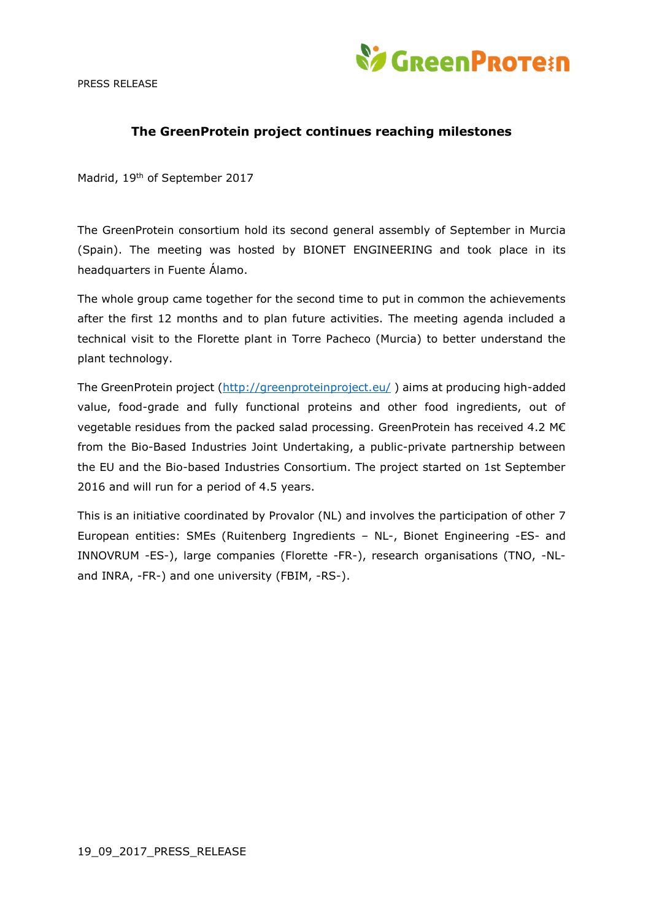PRESS RELEASE



## **The GreenProtein project continues reaching milestones**

Madrid, 19th of September 2017

The GreenProtein consortium hold its second general assembly of September in Murcia (Spain). The meeting was hosted by BIONET ENGINEERING and took place in its headquarters in Fuente Álamo.

The whole group came together for the second time to put in common the achievements after the first 12 months and to plan future activities. The meeting agenda included a technical visit to the Florette plant in Torre Pacheco (Murcia) to better understand the plant technology.

The GreenProtein project [\(http://greenproteinproject.eu/](http://greenproteinproject.eu/)) aims at producing high-added value, food-grade and fully functional proteins and other food ingredients, out of vegetable residues from the packed salad processing. GreenProtein has received 4.2 M€ from the Bio-Based Industries Joint Undertaking, a public-private partnership between the EU and the Bio-based Industries Consortium. The project started on 1st September 2016 and will run for a period of 4.5 years.

This is an initiative coordinated by Provalor (NL) and involves the participation of other 7 European entities: SMEs (Ruitenberg Ingredients – NL-, Bionet Engineering -ES- and INNOVRUM -ES-), large companies (Florette -FR-), research organisations (TNO, -NLand INRA, -FR-) and one university (FBIM, -RS-).